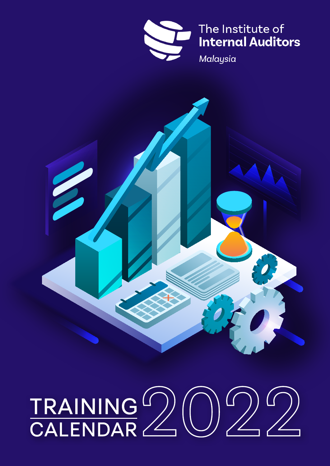

The Institute of **Internal Auditors** 

Malaysia



# TRAINING<sup>(</sup>)<br>CALENDAR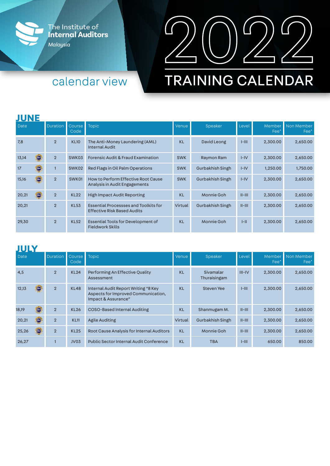



## calendar view

# **TRAINING CALENDAR**

#### **JUNE**

| Date                   | <b>Duration</b> | Course <sub></sub><br>Code | <b>Topic</b>                                                                       | Venue      | Speaker          | Level        | Fee*     | Member Non Member<br>Fee* |
|------------------------|-----------------|----------------------------|------------------------------------------------------------------------------------|------------|------------------|--------------|----------|---------------------------|
| 7,8                    | $\overline{2}$  | <b>KL10</b>                | The Anti-Money Laundering (AML)<br><b>Internal Audit</b>                           | <b>KL</b>  | David Leong      | $I-HII$      | 2,300.00 | 2,650.00                  |
| 13,14<br>HRDF <b>)</b> | $\overline{2}$  | SWK03                      | <b>Forensic Audit &amp; Fraud Examination</b>                                      | <b>SWK</b> | Raymon Ram       | $I-IV$       | 2,300.00 | 2,650.00                  |
| 17<br><b>HRDF</b>      |                 | SWK02                      | Red Flags in Oil Palm Operations                                                   | <b>SWK</b> | Gurbakhish Singh | $I-IV$       | 1,250.00 | 1,750.00                  |
| 15,16                  | $\overline{2}$  | SWK01                      | How to Perform Effective Root Cause<br>Analysis in Audit Engagements               | <b>SWK</b> | Gurbakhish Singh | $I-IV$       | 2,300.00 | 2,650.00                  |
| 20,21                  | $\overline{2}$  | <b>KL22</b>                | <b>High Impact Audit Reporting</b>                                                 | <b>KL</b>  | Monnie Goh       | $II$ - $III$ | 2,300.00 | 2,650.00                  |
| 20,21                  | $\overline{2}$  | <b>KL53</b>                | <b>Essential Processses and Toolkits for</b><br><b>Effective Risk Based Audits</b> | Virtual    | Gurbakhish Singh | $II$ - $III$ | 2,300.00 | 2,650.00                  |
| 29,30                  | $\overline{2}$  | <b>KL52</b>                | Essential Tools for Development of<br><b>Fieldwork Skills</b>                      | <b>KL</b>  | Monnie Goh       | $ -  $       | 2,300.00 | 2,650.00                  |

## **JULY**

| .<br>Date |             | <b>Duration</b> | Course<br>Code   | Topic                                                                                              | Venue     | Speaker                   | Level        | Fee*     | Member Non Member<br>Fee* |
|-----------|-------------|-----------------|------------------|----------------------------------------------------------------------------------------------------|-----------|---------------------------|--------------|----------|---------------------------|
| 4,5       |             | $\overline{2}$  | <b>KL24</b>      | Performing An Effective Quality<br>Assessment                                                      | <b>KL</b> | Sivamalar<br>Thuraisingam | $III - IV$   | 2,300.00 | 2,650.00                  |
| 12,13     | (HRDF)      | $\overline{2}$  | <b>KL48</b>      | Internal Audit Report Writing "8 Key<br>Aspects for Improved Communication,<br>Impact & Assurance" | <b>KL</b> | <b>Steven Yee</b>         | $I-HII$      | 2,300.00 | 2,650.00                  |
| 18,19     | <b>HRDF</b> | $\overline{2}$  | <b>KL26</b>      | <b>COSO-Based Internal Auditing</b>                                                                | <b>KL</b> | Shanmugam M.              | $II$ - $III$ | 2,300.00 | 2,650.00                  |
| 20,21     | (HRDF)      | $\overline{2}$  | <b>KL11</b>      | <b>Agile Auditing</b>                                                                              | Virtual   | Gurbakhish Singh          | $II$ - $III$ | 2,300.00 | 2,650.00                  |
| 25,26     | (HRDF)      | $\overline{2}$  | <b>KL25</b>      | <b>Root Cause Analysis for Internal Auditors</b>                                                   | <b>KL</b> | Monnie Goh                | $II$ - $III$ | 2,300.00 | 2,650.00                  |
| 26,27     |             |                 | JV <sub>03</sub> | Public Sector Internal Audit Conference                                                            | <b>KL</b> | <b>TBA</b>                | $I-HII$      | 650.00   | 850.00                    |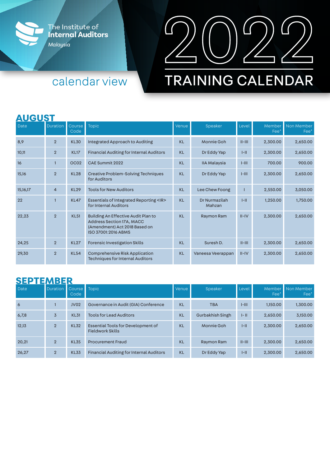



## calendar view

# **TRAINING CALENDAR**

#### **AUGUST**

| Date     | <b>Duration</b> | Course<br>Code   | <b>Topic</b>                                                                                                             | Venue     | Speaker                 | Level        | Member<br>Fee* | Non Member<br>Fee* |
|----------|-----------------|------------------|--------------------------------------------------------------------------------------------------------------------------|-----------|-------------------------|--------------|----------------|--------------------|
| 8,9      | $\overline{2}$  | <b>KL30</b>      | Integrated Approach to Auditing                                                                                          | <b>KL</b> | Monnie Goh              | $II-HII$     | 2,300.00       | 2,650.00           |
| 10,11    | $\overline{2}$  | <b>KL17</b>      | <b>Financial Auditing for Internal Auditors</b>                                                                          | <b>KL</b> | Dr Eddy Yap             | $ -  $       | 2,300.00       | 2,650.00           |
| 16       |                 | OC <sub>02</sub> | CAE Summit 2022                                                                                                          | <b>KL</b> | <b>IIA Malaysia</b>     | $I-HI$       | 700.00         | 900.00             |
| 15,16    | $\overline{2}$  | <b>KL28</b>      | <b>Creative Problem-Solving Techniques</b><br>for Auditors                                                               | <b>KL</b> | Dr Eddy Yap             | $I-HII$      | 2,300.00       | 2,650.00           |
| 15,16,17 | $\overline{4}$  | <b>KL29</b>      | <b>Tools for New Auditors</b>                                                                                            | <b>KL</b> | Lee Chew Foong          |              | 2,550.00       | 3,050.00           |
| 22       |                 | <b>KL47</b>      | Essentials of Integrated Reporting <ir><br/>for Internal Auditors</ir>                                                   | <b>KL</b> | Dr Nurmazilah<br>Mahzan | $I - II$     | 1,250.00       | 1,750.00           |
| 22,23    | $\overline{2}$  | <b>KL51</b>      | Building An Effective Audit Plan to<br>Address Section 17A, MACC<br>(Amendment) Act 2018 Based on<br>ISO 37001:2016 ABMS | <b>KL</b> | Raymon Ram              | $II - IV$    | 2,300.00       | 2,650.00           |
| 24,25    | $\overline{2}$  | <b>KL27</b>      | <b>Forensic Investigation Skills</b>                                                                                     | <b>KL</b> | Suresh D.               | $II$ - $III$ | 2,300.00       | 2,650.00           |
| 29,30    | $\overline{2}$  | <b>KL54</b>      | <b>Comprehensive Risk Application</b><br><b>Techniques for Internal Auditors</b>                                         | <b>KL</b> | Vaneesa Veerappan       | $II$ -IV     | 2,300.00       | 2,650.00           |

#### **SEPTEMBER**

| .<br>Date | .<br><b>Duration</b> | Course Topic<br>Code |                                                               | Venue     | Speaker          | Level        | Fee*     | Member Non Member<br>Fee* |
|-----------|----------------------|----------------------|---------------------------------------------------------------|-----------|------------------|--------------|----------|---------------------------|
| 6         |                      | <b>JV02</b>          | Governance in Audit (GIA) Conference                          | <b>KL</b> | <b>TBA</b>       | $I-III$      | 1,150.00 | 1,300.00                  |
| 6,7,8     | 3                    | <b>KL31</b>          | <b>Tools for Lead Auditors</b>                                | <b>KL</b> | Gurbakhish Singh | $I - II$     | 2,650.00 | 3,150.00                  |
| 12,13     | $\overline{2}$       | <b>KL32</b>          | Essential Tools for Development of<br><b>Fieldwork Skills</b> | <b>KL</b> | Monnie Goh       | $I - II$     | 2,300.00 | 2,650.00                  |
| 20,21     | $\overline{2}$       | <b>KL35</b>          | <b>Procurement Fraud</b>                                      | <b>KL</b> | Raymon Ram       | $II$ - $III$ | 2,300.00 | 2,650.00                  |
| 26,27     | $\overline{2}$       | <b>KL33</b>          | <b>Financial Auditing for Internal Auditors</b>               | <b>KL</b> | Dr Eddy Yap      | $I - II$     | 2,300.00 | 2,650.00                  |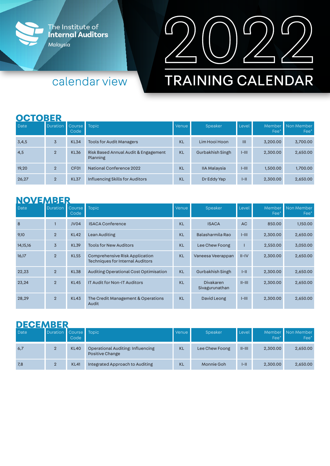

calendar view



# **TRAINING CALENDAR**

#### **OCTOBER**

| <b>Date</b> | Duration Course Topic | Code             |                                                  | Venue     | Speaker             | Level    | Fee*     | Member Non Member<br>Fee* |
|-------------|-----------------------|------------------|--------------------------------------------------|-----------|---------------------|----------|----------|---------------------------|
| 3,4,5       | $\overline{3}$        | <b>KL34</b>      | <b>Tools for Audit Managers</b>                  | <b>KL</b> | Lim Hooi Hoon       | III      | 3,200.00 | 3,700.00                  |
| 4,5         | $\overline{2}$        | <b>KL36</b>      | Risk Based Annual Audit & Engagement<br>Planning | <b>KL</b> | Gurbakhish Singh    | $I-HII$  | 2,300.00 | 2,650.00                  |
| 19,20       | $\mathcal{P}$         | CF <sub>01</sub> | <b>National Conference 2022</b>                  | <b>KL</b> | <b>IIA Malaysia</b> | $I-HII$  | 1,500.00 | 1,700.00                  |
| 26,27       | $\overline{2}$        | <b>KL37</b>      | Influencing Skills for Auditors                  | <b>KL</b> | Dr Eddy Yap         | $I - II$ | 2,300.00 | 2,650.00                  |

## **NOVEMBER**

| Date     | <b>Duration</b> | <b>Course</b><br>Code | <b>Topic</b>                                                                     | Venue     | Speaker                            | Level        | Member<br>Fee* | Non Member<br>Fee* |
|----------|-----------------|-----------------------|----------------------------------------------------------------------------------|-----------|------------------------------------|--------------|----------------|--------------------|
| 8        |                 | JV04                  | <b>ISACA Conference</b>                                                          | <b>KL</b> | <b>ISACA</b>                       | AC           | 850.00         | 1,150.00           |
| 9,10     | $\overline{2}$  | <b>KL42</b>           | Lean Auditing                                                                    | <b>KL</b> | Balasharmila Rao                   | $I-HI$       | 2,300.00       | 2,650.00           |
| 14,15,16 | 3               | <b>KL39</b>           | <b>Tools for New Auditors</b>                                                    | <b>KL</b> | Lee Chew Foong                     |              | 2,550.00       | 3,050.00           |
| 16,17    | $\overline{2}$  | <b>KL55</b>           | <b>Comprehensive Risk Application</b><br><b>Techniques for Internal Auditors</b> | <b>KL</b> | Vaneesa Veerappan                  | $II - IV$    | 2,300.00       | 2,650.00           |
| 22,23    | $\overline{2}$  | <b>KL38</b>           | <b>Auditing Operational Cost Optimisation</b>                                    | <b>KL</b> | Gurbakhish Singh                   | $I - II$     | 2,300.00       | 2,650.00           |
| 23,24    | $\overline{2}$  | <b>KL45</b>           | <b>IT Audit for Non-IT Auditors</b>                                              | <b>KL</b> | <b>Divakaren</b><br>Sivagurunathan | $II$ - $III$ | 2,300.00       | 2,650.00           |
| 28,29    | $\overline{2}$  | <b>KL43</b>           | The Credit Management & Operations<br>Audit                                      | <b>KL</b> | David Leong                        | $I-HII$      | 2,300.00       | 2,650.00           |

## **DECEMBER**

| <b>Date</b> | Duration Course Topic | Code        |                                                             | Venue     | Speaker        | l Level I    | Fee*     | Member Non Member<br>Fee* |
|-------------|-----------------------|-------------|-------------------------------------------------------------|-----------|----------------|--------------|----------|---------------------------|
| 6,7         |                       | <b>KL40</b> | Operational Auditing: Influencing<br><b>Positive Change</b> | <b>KL</b> | Lee Chew Foong | $II$ - $III$ | 2,300.00 | 2,650.00                  |
| 7,8         | $\overline{2}$        | <b>KL41</b> | Integrated Approach to Auditing                             | <b>KL</b> | Monnie Goh     | $I - II$     | 2,300.00 | 2,650.00                  |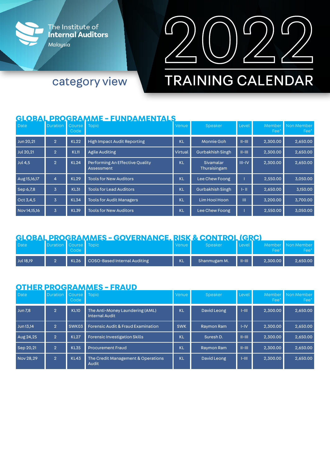



# **TRAINING CALENDAR**

category view

#### **GLOBAL PROGRAMME - FUNDAMENTALS**

| Date             | <b>Duration</b> | Course  <br>Code | <b>Topic</b>                                  | Venue     | Speaker                   | Level      | Fee*     | Member Non Member<br>Fee* |
|------------------|-----------------|------------------|-----------------------------------------------|-----------|---------------------------|------------|----------|---------------------------|
| Jun 20,21        | 2.              | <b>KL22</b>      | <b>High Impact Audit Reporting</b>            | <b>KL</b> | <b>Monnie Goh</b>         | $II-HII$   | 2,300.00 | 2,650.00                  |
| <b>Jul 20,21</b> | $\overline{2}$  | <b>KL11</b>      | <b>Agile Auditing</b>                         | Virtual   | Gurbakhish Singh          | $II-HII$   | 2,300.00 | 2,650.00                  |
| <b>Jul 4,5</b>   | $\overline{2}$  | <b>KL24</b>      | Performing An Effective Quality<br>Assessment | <b>KL</b> | Sivamalar<br>Thuraisingam | $III - IV$ | 2,300.00 | 2.650.00                  |
| Aug15,16,17      | $\overline{4}$  | <b>KL29</b>      | <b>Tools for New Auditors</b>                 | <b>KL</b> | Lee Chew Foong            |            | 2,550.00 | 3,050.00                  |
| Sep 6,7,8        | 3               | <b>KL31</b>      | <b>Tools for Lead Auditors</b>                | <b>KL</b> | <b>Gurbakhish Singh</b>   | $ - 1 $    | 2,650.00 | 3.150.00                  |
| Oct 3,4,5        | $\overline{3}$  | <b>KL34</b>      | <b>Tools for Audit Managers</b>               | <b>KL</b> | Lim Hooi Hoon             | Ш          | 3,200.00 | 3,700.00                  |
| Nov 14,15,16     | $\overline{3}$  | <b>KL39</b>      | <b>Tools for New Auditors</b>                 | <b>KL</b> | Lee Chew Foong            |            | 2,550.00 | 3,050.00                  |

#### **GLOBAL PROGRAMMES - GOVERNANCE, RISK & CONTROL (GRC)**

| Date      | Duration Course Topic | Code' |                                   | l Venue' | Speaker      | Level <sup>1</sup> | Fee'     | Member Non Member<br>Fee* |
|-----------|-----------------------|-------|-----------------------------------|----------|--------------|--------------------|----------|---------------------------|
| Jul 18,19 |                       |       | KL26 COSO-Based Internal Auditing | KL       | Shanmugam M. | $II-HII$           | 2,300.00 | 2,650.00                  |

#### **OTHER PROGRAMMES - FRAUD**

| Date           | <b>Duration</b> | Course <sub>1</sub><br>Code | <b>Topic</b>                                             | Venue      | Speaker     | Level     | Fee*     | Member Non Member<br>Fee* |
|----------------|-----------------|-----------------------------|----------------------------------------------------------|------------|-------------|-----------|----------|---------------------------|
| <b>Jun 7,8</b> | $\overline{2}$  | <b>KL10</b>                 | The Anti-Money Laundering (AML)<br><b>Internal Audit</b> | <b>KL</b>  | David Leong | I-III     | 2,300.00 | 2,650.00                  |
| Jun 13,14      | 2.              | SWK03                       | <b>Forensic Audit &amp; Fraud Examination</b>            | <b>SWK</b> | Raymon Ram  | I-IV      | 2,300.00 | 2,650.00                  |
| Aug 24,25      | 2 <sup>1</sup>  | <b>KL27</b>                 | Forensic Investigation Skills                            | KL         | Suresh D.   | $II-HII$  | 2,300.00 | 2,650.00                  |
| Sep 20,21      | $\mathbf{Q}$    | <b>KL35</b>                 | <b>Procurement Fraud</b>                                 | <b>KL</b>  | Raymon Ram  | $II-HII$  | 2,300.00 | 2,650.00                  |
| Nov 28.29      | $\overline{2}$  | <b>KL43</b>                 | The Credit Management & Operations<br>Audit              | <b>KL</b>  | David Leong | $1 - 111$ | 2,300.00 | 2,650.00                  |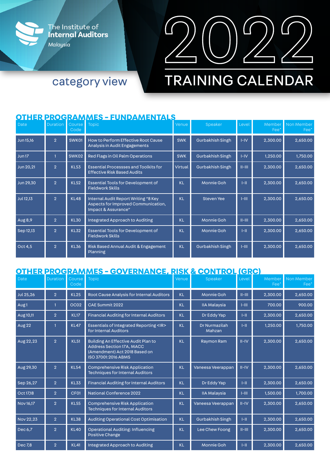



# **TRAINING CALENDAR**

#### **OTHER PROGRAMMES - FUNDAMENTALS**

category view

| Date              | <b>Duration</b> | Course<br>Code | <b>Topic</b>                                                                                       | Venue      | Speaker           | Level     | Fee <sup>*</sup> | Member Non Member<br>$Fee*$ |
|-------------------|-----------------|----------------|----------------------------------------------------------------------------------------------------|------------|-------------------|-----------|------------------|-----------------------------|
| <b>Jun 15,16</b>  | $\overline{2}$  | SWK01          | <b>How to Perform Effective Root Cause</b><br>Analysis in Audit Engagements                        | <b>SWK</b> | Gurbakhish Singh  | $I - IV$  | 2,300.00         | 2,650.00                    |
| Jun <sub>17</sub> |                 | SWK02          | Red Flags in Oil Palm Operations                                                                   | <b>SWK</b> | Gurbakhish Singh  | $I-IV$    | 1,250.00         | 1,750.00                    |
| Jun 20,21         | $\overline{2}$  | <b>KL53</b>    | <b>Essential Processses and Toolkits for</b><br><b>Effective Risk Based Audits</b>                 | Virtual    | Gurbakhish Singh  | $II-HII$  | 2,300.00         | 2,650.00                    |
| Jun 29,30         | $\overline{2}$  | <b>KL52</b>    | <b>Essential Tools for Development of</b><br><b>Fieldwork Skills</b>                               | <b>KL</b>  | <b>Monnie Goh</b> | $1 - 11$  | 2,300.00         | 2,650.00                    |
| <b>Jul 12,13</b>  | 2 <sup>1</sup>  | <b>KL48</b>    | Internal Audit Report Writing "8 Key<br>Aspects for Improved Communication,<br>Impact & Assurance" | <b>KL</b>  | <b>Steven Yee</b> | $1 - 111$ | 2,300.00         | 2,650.00                    |
| Aug 8,9           | $\overline{2}$  | <b>KL30</b>    | Integrated Approach to Auditing                                                                    | <b>KL</b>  | <b>Monnie Goh</b> | $II-HII$  | 2,300.00         | 2,650.00                    |
| Sep 12,13         | $\overline{2}$  | <b>KL32</b>    | <b>Essential Tools for Development of</b><br><b>Fieldwork Skills</b>                               | <b>KL</b>  | <b>Monnie Goh</b> | H         | 2,300.00         | 2,650.00                    |
| Oct 4,5           | $\overline{2}$  | <b>KL36</b>    | Risk Based Annual Audit & Engagement<br>Planning                                                   | <b>KL</b>  | Gurbakhish Singh  | $1 - 111$ | 2,300.00         | 2,650.00                    |

## **OTHER PROGRAMMES - GOVERNANCE, RISK & CONTROL (GRC)**

| Date             | <b>Duration</b> | Course<br>Code   | <b>Topic</b>                                                                                                                    | Venue     | Speaker                        | Level     | Member<br>Fee' | Non Member<br>Fee* |
|------------------|-----------------|------------------|---------------------------------------------------------------------------------------------------------------------------------|-----------|--------------------------------|-----------|----------------|--------------------|
| <b>Jul 25,26</b> | $\overline{2}$  | <b>KL25</b>      | Root Cause Analysis for Internal Auditors                                                                                       | <b>KL</b> | <b>Monnie Goh</b>              | $II-HII$  | 2,300.00       | 2,650.00           |
| Aug <sub>1</sub> |                 | OC <sub>02</sub> | <b>CAE Summit 2022</b>                                                                                                          | <b>KL</b> | <b>IIA Malaysia</b>            | $1 - 111$ | 700.00         | 900.00             |
| Aug 10,11        | $\overline{2}$  | <b>KL17</b>      | <b>Financial Auditing for Internal Auditors</b>                                                                                 | <b>KL</b> | Dr Eddy Yap                    | $1 - 11$  | 2,300.00       | 2,650.00           |
| Aug 22           |                 | <b>KL47</b>      | Essentials of Integrated Reporting <ir><br/>for Internal Auditors</ir>                                                          | <b>KL</b> | <b>Dr Nurmazilah</b><br>Mahzan | H         | 1,250.00       | 1,750.00           |
| Aug 22, 23       | $\overline{2}$  | <b>KL51</b>      | <b>Building An Effective Audit Plan to</b><br>Address Section 17A, MACC<br>(Amendment) Act 2018 Based on<br>ISO 37001:2016 ABMS | <b>KL</b> | Raymon Ram                     | $II$ -IV  | 2,300.00       | 2,650.00           |
| Aug 29,30        | $\overline{2}$  | <b>KL54</b>      | <b>Comprehensive Risk Application</b><br><b>Techniques for Internal Auditors</b>                                                | <b>KL</b> | Vaneesa Veerappan              | $II$ -IV  | 2,300.00       | 2,650.00           |
| Sep 26,27        | $\overline{2}$  | <b>KL33</b>      | <b>Financial Auditing for Internal Auditors</b>                                                                                 | KL.       | Dr Eddy Yap                    | H         | 2,300.00       | 2,650.00           |
| Oct 17,18        | $\overline{2}$  | CF01             | <b>National Conference 2022</b>                                                                                                 | <b>KL</b> | <b>IIA Malaysia</b>            | $1-III$   | 1,500.00       | 1,700.00           |
| Nov 16,17        | $\overline{2}$  | <b>KL55</b>      | <b>Comprehensive Risk Application</b><br><b>Techniques for Internal Auditors</b>                                                | <b>KL</b> | Vaneesa Veerappan              | $II$ -IV  | 2,300.00       | 2,650.00           |
| Nov 22,23        | $\overline{2}$  | <b>KL38</b>      | <b>Auditing Operational Cost Optimisation</b>                                                                                   | <b>KL</b> | Gurbakhish Singh               | $1 - 11$  | 2,300.00       | 2,650.00           |
| Dec 6,7          | $\overline{2}$  | <b>KL40</b>      | <b>Operational Auditing: Influencing</b><br><b>Positive Change</b>                                                              | KL.       | Lee Chew Foong                 | $II-HII$  | 2,300.00       | 2,650.00           |
| <b>Dec 7,8</b>   | $\overline{2}$  | <b>KL41</b>      | Integrated Approach to Auditing                                                                                                 | KL.       | <b>Monnie Goh</b>              | H         | 2,300.00       | 2,650.00           |